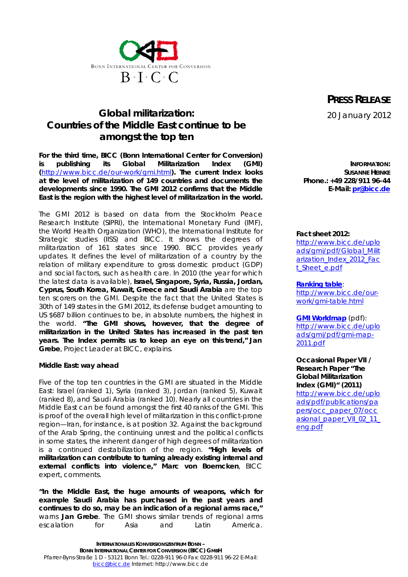

## *Global militarization: Countries of the Middle East continue to be amongst the top ten*

**For the third time, BICC (Bonn International Center for Conversion) is publishing its Global Militarization Index (GMI) (**<http://www.bicc.de/our-work/gmi.html>**). The current Index looks at the level of militarization of 149 countries and documents the developments since 1990. The GMI 2012 confirms that the Middle East is the region with the highest level of militarization in the world.**

The GMI 2012 is based on data from the Stockholm Peace Research Institute (SIPRI), the International Monetary Fund (IMF), the World Health Organization (WHO), the International Institute for Strategic studies (IISS) and BICC. It shows the degrees of militarization of 161 states since 1990. BICC provides yearly updates. It defines the level of militarization of a country by the relation of military expenditure to gross domestic product (GDP) and social factors, such as health care. In 2010 (the year for which the latest data is available), **Israel, Singapore, Syria, Russia, Jordan, Cyprus, South Korea, Kuwait, Greece and Saudi Arabia** are the top ten scorers on the GMI. Despite the fact that the United States is 30th of 149 states in the GMI 2012, its defense budget amounting to US \$687 billion continues to be, in absolute numbers, the highest in the world. **"The GMI shows, however, that the degree of militarization in the United States has increased in the past ten years. The Index permits us to keep an eye on this trend," Jan Grebe**, Project Leader at BICC, explains.

**Middle East: way ahead**

Five of the top ten countries in the GMI are situated in the Middle East: Israel (ranked 1), Syria (ranked 3), Jordan (ranked 5), Kuwait (ranked 8), and Saudi Arabia (ranked 10). Nearly all countries in the Middle East can be found amongst the first 40 ranks of the GMI. This is proof of the overall high level of militarization in this conflict-prone region—Iran, for instance, is at position 32. Against the background of the Arab Spring, the continuing unrest and the political conflicts in some states, the inherent danger of high degrees of militarization is a continued destabilization of the region. **"High levels of militarization can contribute to turning already existing internal and external conflicts into violence," Marc von Boemcken**, BICC expert, comments.

**"In the Middle East, the huge amounts of weapons, which for example Saudi Arabia has purchased in the past years and continues to do so, may be an indication of a regional arms race,"** warns **Jan Grebe**. The GMI shows similar trends of regional arms escalation for Asia and Latin America.

**PRESS RELEASE** 20 January 2012

**INFORMATION: SUSANNE HEINKE Phone.: +49 228/911 96-44 E-Mail: [pr@bicc.de](mailto:pr@bicc.de)**

**Fact sheet 2012:** <http://www.bicc.de/uplo> ads/gmi/pdf/Global\_Milit arization\_Index\_2012\_Fac t\_Sheet\_e.pdf

**Ranking table**: [http://www.bicc.de/our](http://www.bicc.de/our-)work/gmi-table.html

**GMI Worldmap** (pdf): <http://www.bicc.de/uplo> ads/gmi/pdf/gmi-map-2011.pdf

**Occasional Paper VII / Research Paper "The Global Militarization Index (GMI)" (2011)** <http://www.bicc.de/uplo> ads/pdf/publications/pa pers/occ\_paper\_07/occ asional paper VII 02 11 eng.pdf